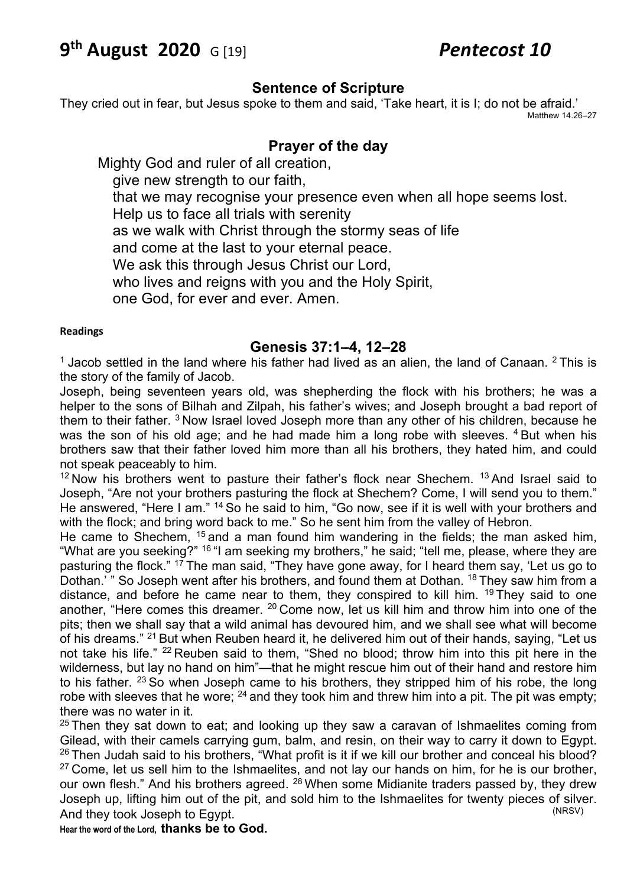# **9th August 2020** G [19] *Pentecost 10*

#### **Sentence of Scripture**

They cried out in fear, but Jesus spoke to them and said, 'Take heart, it is I; do not be afraid.' Matthew 14.26–27

## **Prayer of the day**

Mighty God and ruler of all creation, give new strength to our faith, that we may recognise your presence even when all hope seems lost. Help us to face all trials with serenity as we walk with Christ through the stormy seas of life and come at the last to your eternal peace. We ask this through Jesus Christ our Lord, who lives and reigns with you and the Holy Spirit. one God, for ever and ever. Amen.

#### **Readings**

#### **Genesis 37:1–4, 12–28**

 $1$  Jacob settled in the land where his father had lived as an alien, the land of Canaan.  $2$  This is the story of the family of Jacob.

Joseph, being seventeen years old, was shepherding the flock with his brothers; he was a helper to the sons of Bilhah and Zilpah, his father's wives; and Joseph brought a bad report of them to their father. <sup>3</sup> Now Israel loved Joseph more than any other of his children, because he was the son of his old age; and he had made him a long robe with sleeves.  $4$  But when his brothers saw that their father loved him more than all his brothers, they hated him, and could not speak peaceably to him.

 $12$  Now his brothers went to pasture their father's flock near Shechem.  $13$  And Israel said to Joseph, "Are not your brothers pasturing the flock at Shechem? Come, I will send you to them." He answered, "Here I am." <sup>14</sup> So he said to him, "Go now, see if it is well with your brothers and with the flock; and bring word back to me." So he sent him from the valley of Hebron.

He came to Shechem,  $15$  and a man found him wandering in the fields; the man asked him, "What are you seeking?" <sup>16</sup> "I am seeking my brothers," he said; "tell me, please, where they are pasturing the flock." <sup>17</sup> The man said, "They have gone away, for I heard them say, 'Let us go to Dothan.' " So Joseph went after his brothers, and found them at Dothan. <sup>18</sup> They saw him from a distance, and before he came near to them, they conspired to kill him.  $19$  They said to one another, "Here comes this dreamer. 20 Come now, let us kill him and throw him into one of the pits; then we shall say that a wild animal has devoured him, and we shall see what will become of his dreams." 21 But when Reuben heard it, he delivered him out of their hands, saying, "Let us not take his life." <sup>22</sup> Reuben said to them, "Shed no blood; throw him into this pit here in the wilderness, but lay no hand on him"—that he might rescue him out of their hand and restore him to his father.  $23$  So when Joseph came to his brothers, they stripped him of his robe, the long robe with sleeves that he wore;  $^{24}$  and they took him and threw him into a pit. The pit was empty; there was no water in it.

 $25$  Then they sat down to eat; and looking up they saw a caravan of Ishmaelites coming from Gilead, with their camels carrying gum, balm, and resin, on their way to carry it down to Egypt. <sup>26</sup> Then Judah said to his brothers, "What profit is it if we kill our brother and conceal his blood?  $27$  Come, let us sell him to the Ishmaelites, and not lay our hands on him, for he is our brother, our own flesh." And his brothers agreed. <sup>28</sup> When some Midianite traders passed by, they drew Joseph up, lifting him out of the pit, and sold him to the Ishmaelites for twenty pieces of silver.<br>And they took, loseph to Equat And they took Joseph to Egypt.

**Hear the word of the Lord, thanks be to God.**